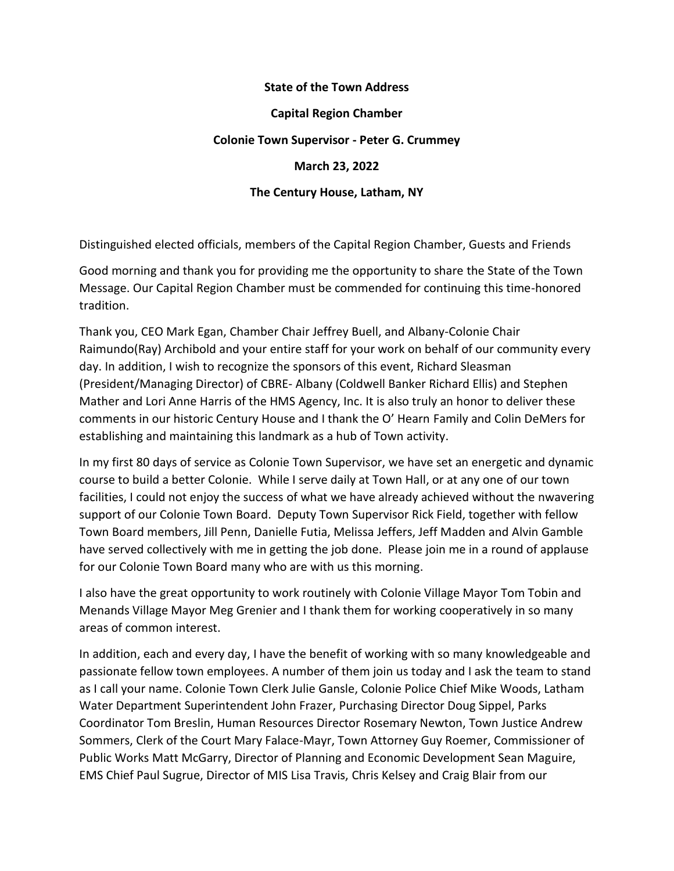## **State of the Town Address Capital Region Chamber Colonie Town Supervisor - Peter G. Crummey March 23, 2022 The Century House, Latham, NY**

Distinguished elected officials, members of the Capital Region Chamber, Guests and Friends

Good morning and thank you for providing me the opportunity to share the State of the Town Message. Our Capital Region Chamber must be commended for continuing this time-honored tradition.

Thank you, CEO Mark Egan, Chamber Chair Jeffrey Buell, and Albany-Colonie Chair Raimundo(Ray) Archibold and your entire staff for your work on behalf of our community every day. In addition, I wish to recognize the sponsors of this event, Richard Sleasman (President/Managing Director) of CBRE- Albany (Coldwell Banker Richard Ellis) and Stephen Mather and Lori Anne Harris of the HMS Agency, Inc. It is also truly an honor to deliver these comments in our historic Century House and I thank the O' Hearn Family and Colin DeMers for establishing and maintaining this landmark as a hub of Town activity.

In my first 80 days of service as Colonie Town Supervisor, we have set an energetic and dynamic course to build a better Colonie. While I serve daily at Town Hall, or at any one of our town facilities, I could not enjoy the success of what we have already achieved without the nwavering support of our Colonie Town Board. Deputy Town Supervisor Rick Field, together with fellow Town Board members, Jill Penn, Danielle Futia, Melissa Jeffers, Jeff Madden and Alvin Gamble have served collectively with me in getting the job done. Please join me in a round of applause for our Colonie Town Board many who are with us this morning.

I also have the great opportunity to work routinely with Colonie Village Mayor Tom Tobin and Menands Village Mayor Meg Grenier and I thank them for working cooperatively in so many areas of common interest.

In addition, each and every day, I have the benefit of working with so many knowledgeable and passionate fellow town employees. A number of them join us today and I ask the team to stand as I call your name. Colonie Town Clerk Julie Gansle, Colonie Police Chief Mike Woods, Latham Water Department Superintendent John Frazer, Purchasing Director Doug Sippel, Parks Coordinator Tom Breslin, Human Resources Director Rosemary Newton, Town Justice Andrew Sommers, Clerk of the Court Mary Falace-Mayr, Town Attorney Guy Roemer, Commissioner of Public Works Matt McGarry, Director of Planning and Economic Development Sean Maguire, EMS Chief Paul Sugrue, Director of MIS Lisa Travis, Chris Kelsey and Craig Blair from our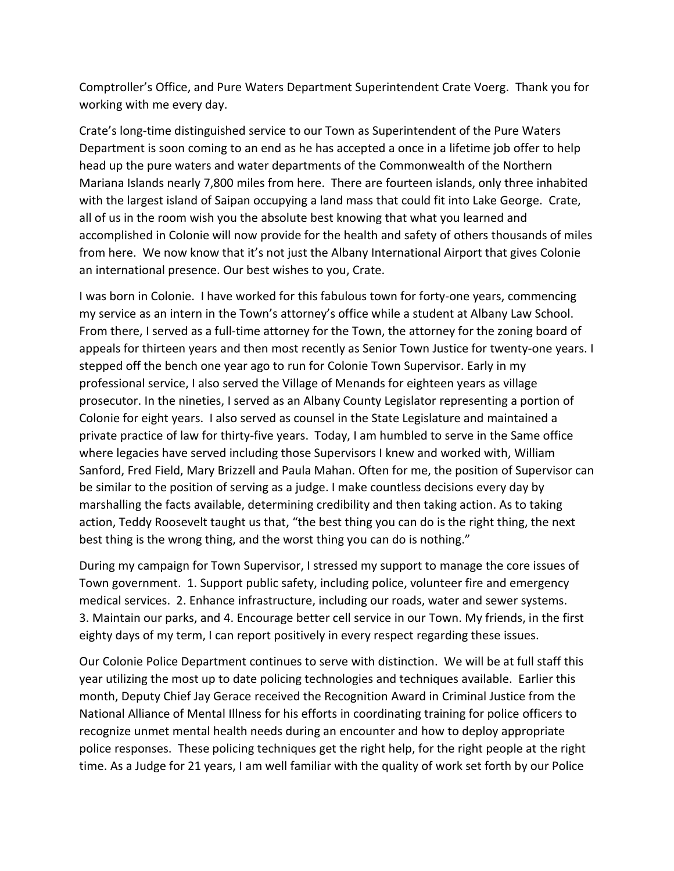Comptroller's Office, and Pure Waters Department Superintendent Crate Voerg. Thank you for working with me every day.

Crate's long-time distinguished service to our Town as Superintendent of the Pure Waters Department is soon coming to an end as he has accepted a once in a lifetime job offer to help head up the pure waters and water departments of the Commonwealth of the Northern Mariana Islands nearly 7,800 miles from here. There are fourteen islands, only three inhabited with the largest island of Saipan occupying a land mass that could fit into Lake George. Crate, all of us in the room wish you the absolute best knowing that what you learned and accomplished in Colonie will now provide for the health and safety of others thousands of miles from here. We now know that it's not just the Albany International Airport that gives Colonie an international presence. Our best wishes to you, Crate.

I was born in Colonie. I have worked for this fabulous town for forty-one years, commencing my service as an intern in the Town's attorney's office while a student at Albany Law School. From there, I served as a full-time attorney for the Town, the attorney for the zoning board of appeals for thirteen years and then most recently as Senior Town Justice for twenty-one years. I stepped off the bench one year ago to run for Colonie Town Supervisor. Early in my professional service, I also served the Village of Menands for eighteen years as village prosecutor. In the nineties, I served as an Albany County Legislator representing a portion of Colonie for eight years. I also served as counsel in the State Legislature and maintained a private practice of law for thirty-five years. Today, I am humbled to serve in the Same office where legacies have served including those Supervisors I knew and worked with, William Sanford, Fred Field, Mary Brizzell and Paula Mahan. Often for me, the position of Supervisor can be similar to the position of serving as a judge. I make countless decisions every day by marshalling the facts available, determining credibility and then taking action. As to taking action, Teddy Roosevelt taught us that, "the best thing you can do is the right thing, the next best thing is the wrong thing, and the worst thing you can do is nothing."

During my campaign for Town Supervisor, I stressed my support to manage the core issues of Town government. 1. Support public safety, including police, volunteer fire and emergency medical services. 2. Enhance infrastructure, including our roads, water and sewer systems. 3. Maintain our parks, and 4. Encourage better cell service in our Town. My friends, in the first eighty days of my term, I can report positively in every respect regarding these issues.

Our Colonie Police Department continues to serve with distinction. We will be at full staff this year utilizing the most up to date policing technologies and techniques available. Earlier this month, Deputy Chief Jay Gerace received the Recognition Award in Criminal Justice from the National Alliance of Mental Illness for his efforts in coordinating training for police officers to recognize unmet mental health needs during an encounter and how to deploy appropriate police responses. These policing techniques get the right help, for the right people at the right time. As a Judge for 21 years, I am well familiar with the quality of work set forth by our Police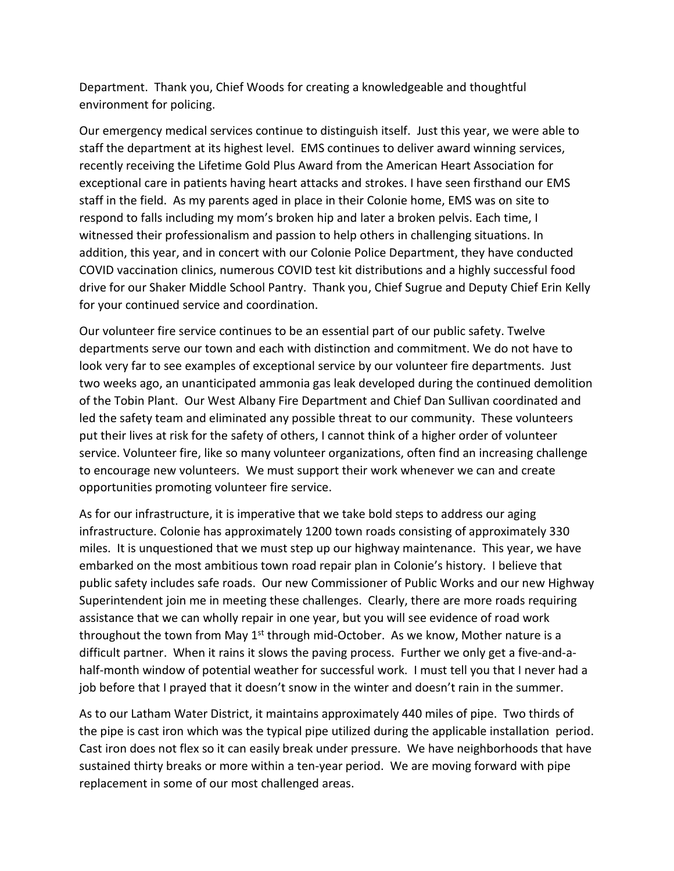Department. Thank you, Chief Woods for creating a knowledgeable and thoughtful environment for policing.

Our emergency medical services continue to distinguish itself. Just this year, we were able to staff the department at its highest level. EMS continues to deliver award winning services, recently receiving the Lifetime Gold Plus Award from the American Heart Association for exceptional care in patients having heart attacks and strokes. I have seen firsthand our EMS staff in the field. As my parents aged in place in their Colonie home, EMS was on site to respond to falls including my mom's broken hip and later a broken pelvis. Each time, I witnessed their professionalism and passion to help others in challenging situations. In addition, this year, and in concert with our Colonie Police Department, they have conducted COVID vaccination clinics, numerous COVID test kit distributions and a highly successful food drive for our Shaker Middle School Pantry. Thank you, Chief Sugrue and Deputy Chief Erin Kelly for your continued service and coordination.

Our volunteer fire service continues to be an essential part of our public safety. Twelve departments serve our town and each with distinction and commitment. We do not have to look very far to see examples of exceptional service by our volunteer fire departments. Just two weeks ago, an unanticipated ammonia gas leak developed during the continued demolition of the Tobin Plant. Our West Albany Fire Department and Chief Dan Sullivan coordinated and led the safety team and eliminated any possible threat to our community. These volunteers put their lives at risk for the safety of others, I cannot think of a higher order of volunteer service. Volunteer fire, like so many volunteer organizations, often find an increasing challenge to encourage new volunteers. We must support their work whenever we can and create opportunities promoting volunteer fire service.

As for our infrastructure, it is imperative that we take bold steps to address our aging infrastructure. Colonie has approximately 1200 town roads consisting of approximately 330 miles. It is unquestioned that we must step up our highway maintenance. This year, we have embarked on the most ambitious town road repair plan in Colonie's history. I believe that public safety includes safe roads. Our new Commissioner of Public Works and our new Highway Superintendent join me in meeting these challenges. Clearly, there are more roads requiring assistance that we can wholly repair in one year, but you will see evidence of road work throughout the town from May  $1<sup>st</sup>$  through mid-October. As we know, Mother nature is a difficult partner. When it rains it slows the paving process. Further we only get a five-and-ahalf-month window of potential weather for successful work. I must tell you that I never had a job before that I prayed that it doesn't snow in the winter and doesn't rain in the summer.

As to our Latham Water District, it maintains approximately 440 miles of pipe. Two thirds of the pipe is cast iron which was the typical pipe utilized during the applicable installation period. Cast iron does not flex so it can easily break under pressure. We have neighborhoods that have sustained thirty breaks or more within a ten-year period. We are moving forward with pipe replacement in some of our most challenged areas.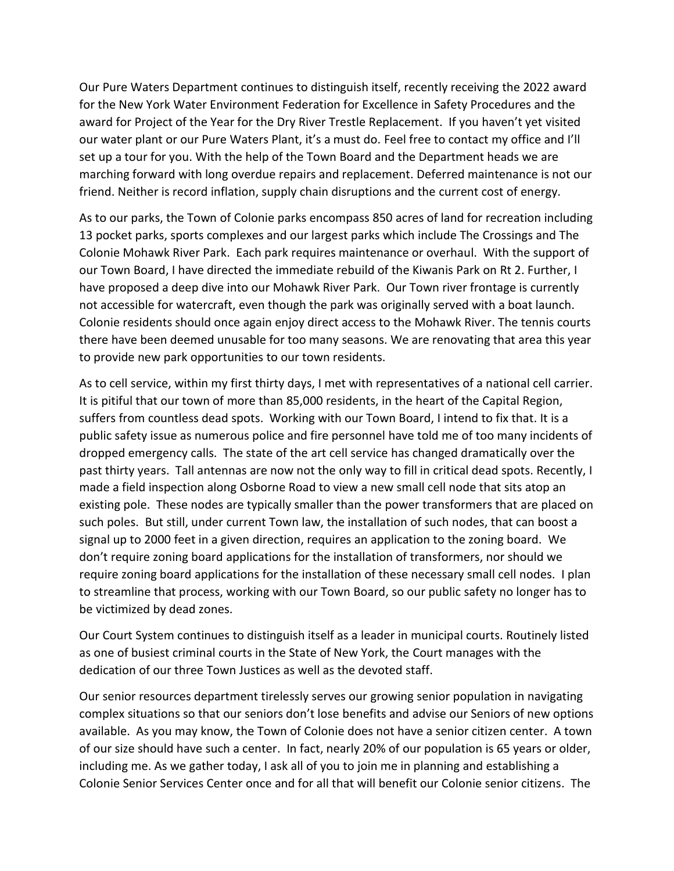Our Pure Waters Department continues to distinguish itself, recently receiving the 2022 award for the New York Water Environment Federation for Excellence in Safety Procedures and the award for Project of the Year for the Dry River Trestle Replacement. If you haven't yet visited our water plant or our Pure Waters Plant, it's a must do. Feel free to contact my office and I'll set up a tour for you. With the help of the Town Board and the Department heads we are marching forward with long overdue repairs and replacement. Deferred maintenance is not our friend. Neither is record inflation, supply chain disruptions and the current cost of energy.

As to our parks, the Town of Colonie parks encompass 850 acres of land for recreation including 13 pocket parks, sports complexes and our largest parks which include The Crossings and The Colonie Mohawk River Park. Each park requires maintenance or overhaul. With the support of our Town Board, I have directed the immediate rebuild of the Kiwanis Park on Rt 2. Further, I have proposed a deep dive into our Mohawk River Park. Our Town river frontage is currently not accessible for watercraft, even though the park was originally served with a boat launch. Colonie residents should once again enjoy direct access to the Mohawk River. The tennis courts there have been deemed unusable for too many seasons. We are renovating that area this year to provide new park opportunities to our town residents.

As to cell service, within my first thirty days, I met with representatives of a national cell carrier. It is pitiful that our town of more than 85,000 residents, in the heart of the Capital Region, suffers from countless dead spots. Working with our Town Board, I intend to fix that. It is a public safety issue as numerous police and fire personnel have told me of too many incidents of dropped emergency calls. The state of the art cell service has changed dramatically over the past thirty years. Tall antennas are now not the only way to fill in critical dead spots. Recently, I made a field inspection along Osborne Road to view a new small cell node that sits atop an existing pole. These nodes are typically smaller than the power transformers that are placed on such poles. But still, under current Town law, the installation of such nodes, that can boost a signal up to 2000 feet in a given direction, requires an application to the zoning board. We don't require zoning board applications for the installation of transformers, nor should we require zoning board applications for the installation of these necessary small cell nodes. I plan to streamline that process, working with our Town Board, so our public safety no longer has to be victimized by dead zones.

Our Court System continues to distinguish itself as a leader in municipal courts. Routinely listed as one of busiest criminal courts in the State of New York, the Court manages with the dedication of our three Town Justices as well as the devoted staff.

Our senior resources department tirelessly serves our growing senior population in navigating complex situations so that our seniors don't lose benefits and advise our Seniors of new options available. As you may know, the Town of Colonie does not have a senior citizen center. A town of our size should have such a center. In fact, nearly 20% of our population is 65 years or older, including me. As we gather today, I ask all of you to join me in planning and establishing a Colonie Senior Services Center once and for all that will benefit our Colonie senior citizens. The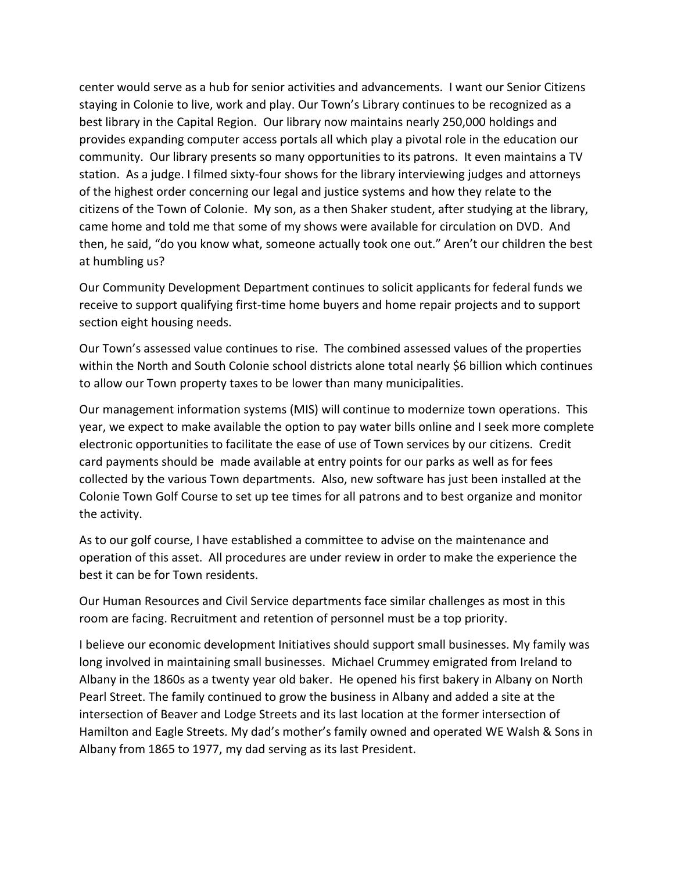center would serve as a hub for senior activities and advancements. I want our Senior Citizens staying in Colonie to live, work and play. Our Town's Library continues to be recognized as a best library in the Capital Region. Our library now maintains nearly 250,000 holdings and provides expanding computer access portals all which play a pivotal role in the education our community. Our library presents so many opportunities to its patrons. It even maintains a TV station. As a judge. I filmed sixty-four shows for the library interviewing judges and attorneys of the highest order concerning our legal and justice systems and how they relate to the citizens of the Town of Colonie. My son, as a then Shaker student, after studying at the library, came home and told me that some of my shows were available for circulation on DVD. And then, he said, "do you know what, someone actually took one out." Aren't our children the best at humbling us?

Our Community Development Department continues to solicit applicants for federal funds we receive to support qualifying first-time home buyers and home repair projects and to support section eight housing needs.

Our Town's assessed value continues to rise. The combined assessed values of the properties within the North and South Colonie school districts alone total nearly \$6 billion which continues to allow our Town property taxes to be lower than many municipalities.

Our management information systems (MIS) will continue to modernize town operations. This year, we expect to make available the option to pay water bills online and I seek more complete electronic opportunities to facilitate the ease of use of Town services by our citizens. Credit card payments should be made available at entry points for our parks as well as for fees collected by the various Town departments. Also, new software has just been installed at the Colonie Town Golf Course to set up tee times for all patrons and to best organize and monitor the activity.

As to our golf course, I have established a committee to advise on the maintenance and operation of this asset. All procedures are under review in order to make the experience the best it can be for Town residents.

Our Human Resources and Civil Service departments face similar challenges as most in this room are facing. Recruitment and retention of personnel must be a top priority.

I believe our economic development Initiatives should support small businesses. My family was long involved in maintaining small businesses. Michael Crummey emigrated from Ireland to Albany in the 1860s as a twenty year old baker. He opened his first bakery in Albany on North Pearl Street. The family continued to grow the business in Albany and added a site at the intersection of Beaver and Lodge Streets and its last location at the former intersection of Hamilton and Eagle Streets. My dad's mother's family owned and operated WE Walsh & Sons in Albany from 1865 to 1977, my dad serving as its last President.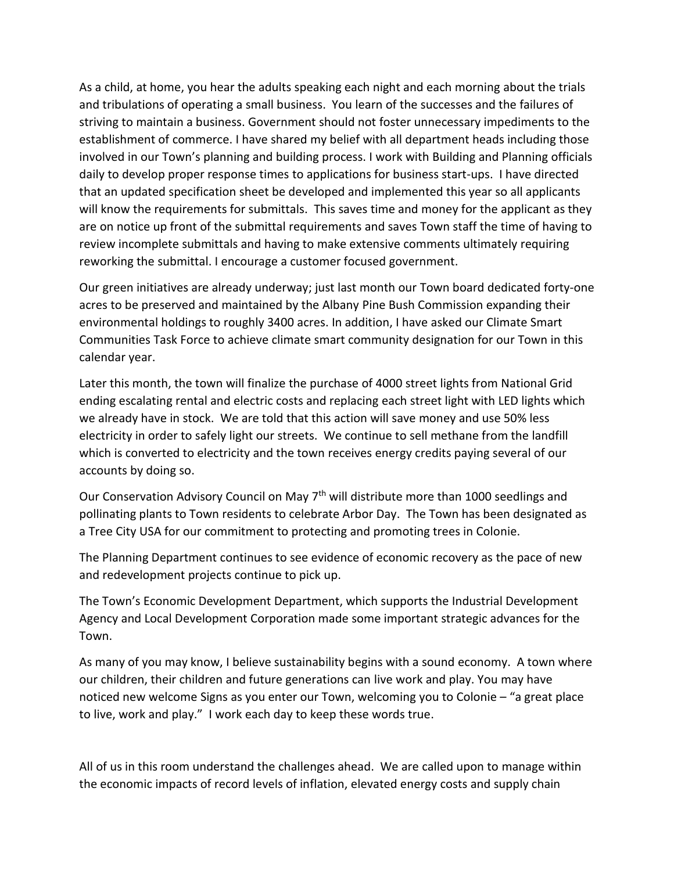As a child, at home, you hear the adults speaking each night and each morning about the trials and tribulations of operating a small business. You learn of the successes and the failures of striving to maintain a business. Government should not foster unnecessary impediments to the establishment of commerce. I have shared my belief with all department heads including those involved in our Town's planning and building process. I work with Building and Planning officials daily to develop proper response times to applications for business start-ups. I have directed that an updated specification sheet be developed and implemented this year so all applicants will know the requirements for submittals. This saves time and money for the applicant as they are on notice up front of the submittal requirements and saves Town staff the time of having to review incomplete submittals and having to make extensive comments ultimately requiring reworking the submittal. I encourage a customer focused government.

Our green initiatives are already underway; just last month our Town board dedicated forty-one acres to be preserved and maintained by the Albany Pine Bush Commission expanding their environmental holdings to roughly 3400 acres. In addition, I have asked our Climate Smart Communities Task Force to achieve climate smart community designation for our Town in this calendar year.

Later this month, the town will finalize the purchase of 4000 street lights from National Grid ending escalating rental and electric costs and replacing each street light with LED lights which we already have in stock. We are told that this action will save money and use 50% less electricity in order to safely light our streets. We continue to sell methane from the landfill which is converted to electricity and the town receives energy credits paying several of our accounts by doing so.

Our Conservation Advisory Council on May 7<sup>th</sup> will distribute more than 1000 seedlings and pollinating plants to Town residents to celebrate Arbor Day. The Town has been designated as a Tree City USA for our commitment to protecting and promoting trees in Colonie.

The Planning Department continues to see evidence of economic recovery as the pace of new and redevelopment projects continue to pick up.

The Town's Economic Development Department, which supports the Industrial Development Agency and Local Development Corporation made some important strategic advances for the Town.

As many of you may know, I believe sustainability begins with a sound economy. A town where our children, their children and future generations can live work and play. You may have noticed new welcome Signs as you enter our Town, welcoming you to Colonie – "a great place to live, work and play." I work each day to keep these words true.

All of us in this room understand the challenges ahead. We are called upon to manage within the economic impacts of record levels of inflation, elevated energy costs and supply chain